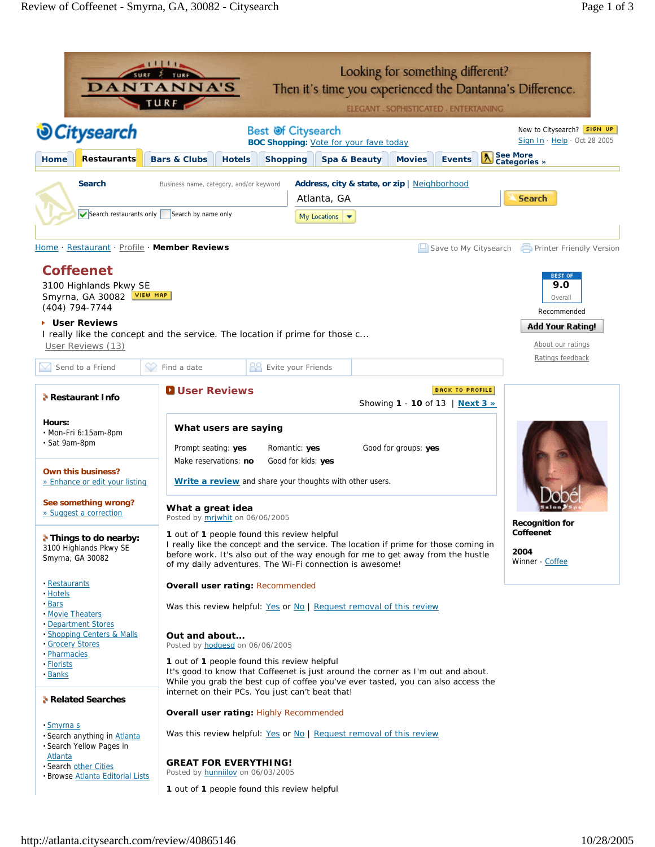|                                                                                                                                                                                                                                                                                                                    | Looking for something different?<br><b>DANTANNA'S</b><br>Then it's time you experienced the Dantanna's Difference.<br>TURF<br>ELEGANT - SOPHISTICATED - ENTERTAINING                                                                                                                                                                                                                                                                                                                                                                                                                                                                                                |                                                                                                                                                 |
|--------------------------------------------------------------------------------------------------------------------------------------------------------------------------------------------------------------------------------------------------------------------------------------------------------------------|---------------------------------------------------------------------------------------------------------------------------------------------------------------------------------------------------------------------------------------------------------------------------------------------------------------------------------------------------------------------------------------------------------------------------------------------------------------------------------------------------------------------------------------------------------------------------------------------------------------------------------------------------------------------|-------------------------------------------------------------------------------------------------------------------------------------------------|
| <b><i><u></u></i></b> OCitysearch                                                                                                                                                                                                                                                                                  | Best Of Citysearch<br><b>BOC Shopping: Vote for your fave today</b>                                                                                                                                                                                                                                                                                                                                                                                                                                                                                                                                                                                                 | New to Citysearch? SIGN UP<br>Sign In $\cdot$ Help $\cdot$ Oct 28 2005                                                                          |
| Restaurants<br><b>Home</b>                                                                                                                                                                                                                                                                                         | <b>Bars &amp; Clubs</b><br>Spa & Beauty<br><b>Hotels</b><br><b>Shopping</b><br><b>Movies</b><br><b>Events</b>                                                                                                                                                                                                                                                                                                                                                                                                                                                                                                                                                       | <b>A</b> See More<br>Categories »                                                                                                               |
| <b>Search</b>                                                                                                                                                                                                                                                                                                      | Address, city & state, or zip   Neighborhood<br>Business name, category, and/or keyword<br>Atlanta, GA<br>Search restaurants only Search by name only<br>My Locations                                                                                                                                                                                                                                                                                                                                                                                                                                                                                               | <b>Search</b>                                                                                                                                   |
| Home Restaurant Profile Member Reviews<br><b>Coffeenet</b><br>3100 Highlands Pkwy SE<br>VIEW MAP<br>Smyrna, GA 30082<br>(404) 794-7744<br><b>User Reviews</b><br>User Reviews (13)                                                                                                                                 | $\Box$ Save to My Citysearch<br>I really like the concept and the service. The location if prime for those c                                                                                                                                                                                                                                                                                                                                                                                                                                                                                                                                                        | <b>Printer Friendly Version</b><br>BEST OF<br>9.0<br>Overall<br>Recommended<br><b>Add Your Rating!</b><br>About our ratings<br>Ratings feedback |
| Send to a Friend<br><b>A</b> Restaurant Info                                                                                                                                                                                                                                                                       | Evite your Friends<br>Find a date<br><b>D</b> User Reviews<br><b>BACK TO PROFILE</b><br>Showing 1 - 10 of 13   Next 3 »                                                                                                                                                                                                                                                                                                                                                                                                                                                                                                                                             |                                                                                                                                                 |
| Hours:<br>· Mon-Fri 6:15am-8pm<br>· Sat 9am-8pm<br>Own this business?<br>» Enhance or edit your listing<br>See something wrong?<br>» Suggest a correction<br>Things to do nearby:<br>3100 Highlands Pkwy SE<br>Smyrna, GA 30082                                                                                    | What users are saying<br>Good for groups: yes<br>Prompt seating: yes<br>Romantic: yes<br>Make reservations: no<br>Good for kids: yes<br>Write a review and share your thoughts with other users.<br>What a great idea<br>Posted by mrjwhit on 06/06/2005<br>1 out of 1 people found this review helpful<br>I really like the concept and the service. The location if prime for those coming in<br>before work. It's also out of the way enough for me to get away from the hustle                                                                                                                                                                                  | <b>Recognition for</b><br>Coffeenet<br>2004                                                                                                     |
| · Restaurants<br>· Hotels<br>· Bars<br>. Movie Theaters<br>· Department Stores<br>· Shopping Centers & Malls<br>· Grocery Stores<br>· Pharmacies<br>· Florists<br>• Banks<br>Related Searches<br><u>- Smyrna s</u><br>· Search anything in Atlanta<br>· Search Yellow Pages in<br>Atlanta<br>· Search other Cities | of my daily adventures. The Wi-Fi connection is awesome!<br><b>Overall user rating: Recommended</b><br>Was this review helpful: Yes or No   Request removal of this review<br>Out and about<br>Posted by hodgesd on 06/06/2005<br>1 out of 1 people found this review helpful<br>It's good to know that Coffeenet is just around the corner as I'm out and about.<br>While you grab the best cup of coffee you've ever tasted, you can also access the<br>internet on their PCs. You just can't beat that!<br><b>Overall user rating: Highly Recommended</b><br>Was this review helpful: Yes or No   Request removal of this review<br><b>GREAT FOR EVERYTHING!</b> | Winner - Coffee                                                                                                                                 |
| · Browse Atlanta Editorial Lists                                                                                                                                                                                                                                                                                   | Posted by <b>hunnillov</b> on 06/03/2005<br><b>1</b> out of <b>1</b> people found this review helpful                                                                                                                                                                                                                                                                                                                                                                                                                                                                                                                                                               |                                                                                                                                                 |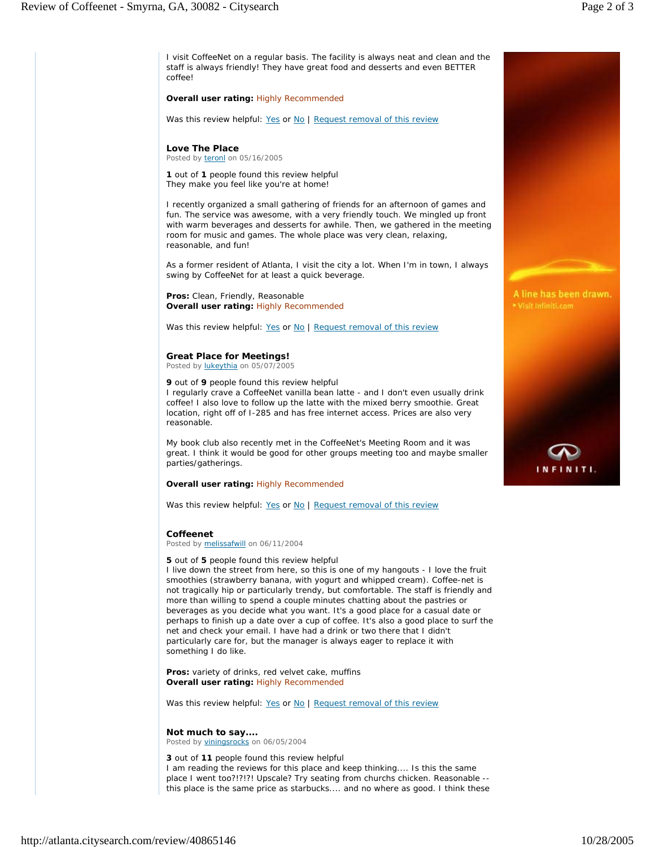I visit CoffeeNet on a regular basis. The facility is always neat and clean and the staff is always friendly! They have great food and desserts and even BETTER coffee!

#### **Overall user rating:** Highly Recommended

Was this review helpful: Yes or No | Request removal of this review

# **Love The Place**

Posted by teronl on 05/16/2005

*1 out of 1 people found this review helpful*  They make you feel like you're at home!

I recently organized a small gathering of friends for an afternoon of games and fun. The service was awesome, with a very friendly touch. We mingled up front with warm beverages and desserts for awhile. Then, we gathered in the meeting room for music and games. The whole place was very clean, relaxing, reasonable, and fun!

As a former resident of Atlanta, I visit the city a lot. When I'm in town, I always swing by CoffeeNet for at least a quick beverage.

**Pros:** Clean, Friendly, Reasonable **Overall user rating:** Highly Recommended

Was this review helpful: Yes or No | Request removal of this review

## **Great Place for Meetings!**

Posted by lukeythia on 05/07/2005

#### *9 out of 9 people found this review helpful*

I regularly crave a CoffeeNet vanilla bean latte - and I don't even usually drink coffee! I also love to follow up the latte with the mixed berry smoothie. Great location, right off of I-285 and has free internet access. Prices are also very reasonable.

My book club also recently met in the CoffeeNet's Meeting Room and it was great. I think it would be good for other groups meeting too and maybe smaller parties/gatherings.

## **Overall user rating:** Highly Recommended

Was this review helpful: Yes or No | Request removal of this review

## **Coffeenet**

Posted by melissafwill on 06/11/2004

#### *5 out of 5 people found this review helpful*

I live down the street from here, so this is one of my hangouts - I love the fruit smoothies (strawberry banana, with yogurt and whipped cream). Coffee-net is not tragically hip or particularly trendy, but comfortable. The staff is friendly and more than willing to spend a couple minutes chatting about the pastries or beverages as you decide what you want. It's a good place for a casual date or perhaps to finish up a date over a cup of coffee. It's also a good place to surf the net and check your email. I have had a drink or two there that I didn't particularly care for, but the manager is always eager to replace it with something I do like.

**Pros:** variety of drinks, red velvet cake, muffins **Overall user rating:** Highly Recommended

Was this review helpful: Yes or No | Request removal of this review

## **Not much to say....**  Posted by viningsrocks on 06/05/2004

*3 out of 11 people found this review helpful*  I am reading the reviews for this place and keep thinking.... Is this the same place I went too?!?!?! Upscale? Try seating from churchs chicken. Reasonable - this place is the same price as starbucks.... and no where as good. I think these